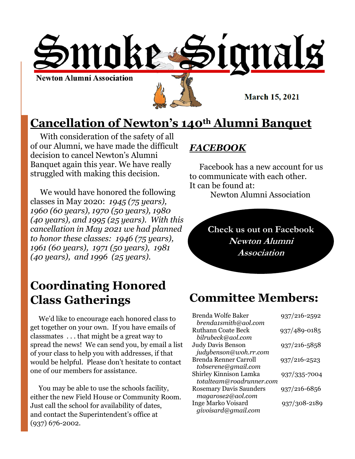

**March 15, 2021** 

# **Cancellation of Newton's 140th Alumni Banquet**

 With consideration of the safety of all of our Alumni, we have made the difficult decision to cancel Newton's Alumni Banquet again this year. We have really struggled with making this decision.

 We would have honored the following classes in May 2020: *1945 (75 years), 1960 (60 years), 1970 (50 years), 1980 (40 years), and 1995 (25 years). With this cancellation in May 2021 we had planned to honor these classes: 1946 (75 years), 1961 (60 years), 1971 (50 years), 1981 (40 years), and 1996 (25 years).* 

# **Coordinating Honored Class Gatherings**

 We'd like to encourage each honored class to get together on your own. If you have emails of classmates . . . that might be a great way to spread the news! We can send you, by email a list of your class to help you with addresses, if that would be helpful. Please don't hesitate to contact one of our members for assistance.

 You may be able to use the schools facility, either the new Field House or Community Room. Just call the school for availability of dates, and contact the Superintendent's office at (937) 676-2002.

## *FACEBOOK*

 Facebook has a new account for us to communicate with each other. It can be found at:

Newton Alumni Association

**Check us out on Facebook Newton Alumni Association**

# **Committee Members:**

| Brenda Wolfe Baker             | 937/216-2592 |
|--------------------------------|--------------|
| brenda1smith@aol.com           |              |
| <b>Ruthann Coate Beck</b>      | 937/489-0185 |
| bilrubeck@aol.com              |              |
| <b>Judy Davis Benson</b>       | 937/216-5858 |
| judybenson@woh.rr.com          |              |
| Brenda Renner Carroll          | 937/216-2523 |
| tobserene@gmail.com            |              |
| Shirley Kinnison Lamka         | 937/335-7004 |
| totalteam@roadrunner.com       |              |
| <b>Rosemary Davis Saunders</b> | 937/216-6856 |
| magarose2@aol.com              |              |
| <b>Inge Marko Voisard</b>      | 937/308-2189 |
| givoisard@gmail.com            |              |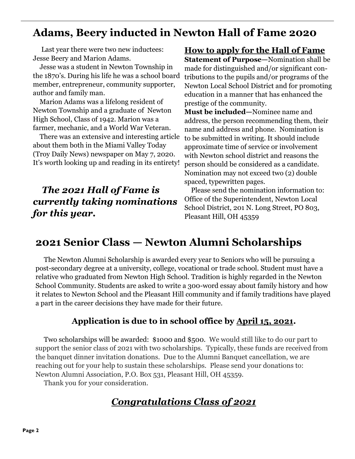## **Adams, Beery inducted in Newton Hall of Fame 2020**

 Last year there were two new inductees: Jesse Beery and Marion Adams.

 Jesse was a student in Newton Township in the 1870's. During his life he was a school board member, entrepreneur, community supporter, author and family man.

 Marion Adams was a lifelong resident of Newton Township and a graduate of Newton High School, Class of 1942. Marion was a farmer, mechanic, and a World War Veteran.

 There was an extensive and interesting article about them both in the Miami Valley Today (Troy Daily News) newspaper on May 7, 2020. It's worth looking up and reading in its entirety!

## *The 2021 Hall of Fame is currently taking nominations for this year.*

### **How to apply for the Hall of Fame**

**Statement of Purpose—**Nomination shall be made for distinguished and/or significant contributions to the pupils and/or programs of the Newton Local School District and for promoting education in a manner that has enhanced the prestige of the community.

**Must be included—**Nominee name and address, the person recommending them, their name and address and phone. Nomination is to be submitted in writing. It should include approximate time of service or involvement with Newton school district and reasons the person should be considered as a candidate. Nomination may not exceed two (2) double spaced, typewritten pages.

 Please send the nomination information to: Office of the Superintendent, Newton Local School District, 201 N. Long Street, PO 803, Pleasant Hill, OH 45359

## **2021 Senior Class — Newton Alumni Scholarships**

 The Newton Alumni Scholarship is awarded every year to Seniors who will be pursuing a post-secondary degree at a university, college, vocational or trade school. Student must have a relative who graduated from Newton High School. Tradition is highly regarded in the Newton School Community. Students are asked to write a 300-word essay about family history and how it relates to Newton School and the Pleasant Hill community and if family traditions have played a part in the career decisions they have made for their future.

### **Application is due to in school office by April 15, 2021.**

 Two scholarships will be awarded: \$1000 and \$500. We would still like to do our part to support the senior class of 2021 with two scholarships. Typically, these funds are received from the banquet dinner invitation donations. Due to the Alumni Banquet cancellation, we are reaching out for your help to sustain these scholarships. Please send your donations to: Newton Alumni Association, P.O. Box 531, Pleasant Hill, OH 45359.

Thank you for your consideration.

## *Congratulations Class of 2021*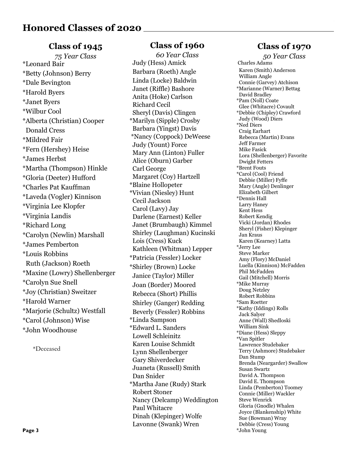#### **Class of 1945**

*75 Year Class* \*Leonard Bair \*Betty (Johnson) Berry \*Dale Bevington \*Harold Byers \*Janet Byers \*Wilbur Cool \*Alberta (Christian) Cooper Donald Cress \*Mildred Fair \*Fern (Hershey) Heise \*James Herbst \*Martha (Thompson) Hinkle \*Gloria (Deeter) Hufford \*Charles Pat Kauffman \*Laveda (Vogler) Kinnison \*Virginia Lee Klopfer \*Virginia Landis \*Richard Long \*Carolyn (Newlin) Marshall \*James Pemberton \*Louis Robbins Ruth (Jackson) Roeth \*Maxine (Lowry) Shellenberger \*Carolyn Sue Snell \*Joy (Christian) Sweitzer \*Harold Warner \*Marjorie (Schultz) Westfall \*Carol (Johnson) Wise \*John Woodhouse

\*Deceased

#### **Class of 1960**

*60 Year Class* Judy (Hess) Amick Barbara (Roeth) Angle Linda (Locke) Baldwin Janet (Riffle) Bashore Anita (Hoke) Carlson Richard Cecil Sheryl (Davis) Clingen \*Marilyn (Sipple) Crosby Barbara (Yingst) Davis \*Nancy (Coppock) DeWeese Judy (Yount) Force Mary Ann (Linton) Fuller Alice (Oburn) Garber Carl George Margaret (Coy) Hartzell \*Blaine Hollopeter \*Vivian (Niesley) Hunt Cecil Jackson Carol (Lavy) Jay Darlene (Earnest) Keller Janet (Brumbaugh) Kimmel Shirley (Laughman) Kucinski Lois (Cress) Kuck Kathleen (Whitman) Lepper \*Patricia (Fessler) Locker \*Shirley (Brown) Locke Janice (Taylor) Miller Joan (Border) Moored Rebecca (Short) Phillis Shirley (Ganger) Redding Beverly (Fessler) Robbins \*Linda Sampson \*Edward L. Sanders Lowell Schleinitz Karen Louise Schmidt Lynn Shellenberger Gary Shiverdecker Juaneta (Russell) Smith Dan Snider \*Martha Jane (Rudy) Stark Robert Stoner Nancy (Delcamp) Weddington Paul Whitacre Dinah (Klepinger) Wolfe Lavonne (Swank) Wren

### **Class of 1970**

*50 Year Class* Charles Adams Karen (Smith) Anderson William Angle Connie (Garvey) Atchison \*Marianne (Warner) Bettag David Bradley \*Pam (Noll) Coate Glee (Whitacre) Covault \*Debbie (Chipley) Crawford Judy (Wood) Diers \*Ned Diers Craig Earhart Rebecca (Martin) Evans Jeff Farmer Mike Fasick Lora (Shellenberger) Favorite Dwight Fetters \*Brent Fouts \*Carol (Cool) Friend Debbie (Miller) Fyffe Mary (Angle) Denlinger Elizabeth Gilbert \*Dennis Hall Larry Haney Kent Hess Robert Kendig Vicki (Jordan) Rhodes Sheryl (Fisher) Klepinger Jan Kraus Karen (Kearney) Latta \*Jerry Lee Steve Marker Amy (Flory) McDaniel Luella (Kinnison) McFadden Phil McFadden Gail (Mitchell) Morris \*Mike Murray Doug Netzley Robert Robbins \*Sam Roetter \*Kathy (Iddings) Rolls Jack Salyer Anne (Wall) Shedloski William Sink \*Diane (Hess) Sleppy \*Van Spitler Lawrence Studebaker Terry (Ashmore) Studebaker Dan Stump Brenda (Neargarder) Swallow Susan Swartz David A. Thompson David E. Thompson Linda (Pemberton) Toomey Connie (Miller) Wackler Steve Wenrick Gloria (Gnodle) Whalen Joyce (Blankenship) White Sue (Bowman) Wray Debbie (Cress) Young \*John Young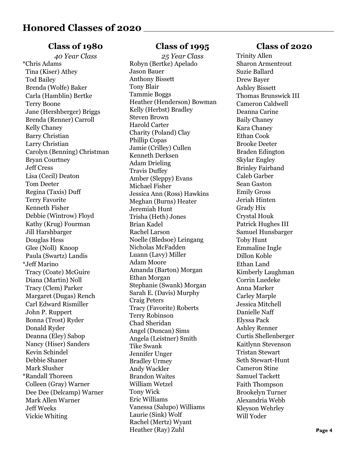#### **Class of 1980**

*40 Year Class* \*Chris Adams Tina (Kiser) Athey Tod Bailey Brenda (Wolfe) Baker Carla (Hamblin) Bertke Terry Boone Jane (Hershberger) Briggs Brenda (Renner) Carroll Kelly Chaney Barry Christian Larry Christian Carolyn (Benning) Christman Bryan Courtney Jeff Cress Lisa (Cecil) Deaton Tom Deeter Regina (Taxis) Duff Terry Favorite Kenneth Fisher Debbie (Wintrow) Floyd Kathy (Krug) Fourman Jill Harshbarger Douglas Hess Glee (Noll) Knoop Paula (Swartz) Landis \*Jeff Marino Tracy (Coate) McGuire Diana (Martin) Noll Tracy (Clem) Parker Margaret (Dugas) Rench Carl Edward Rismiller John P. Ruppert Bonna (Trost) Ryder Donald Ryder Deanna (Eley) Sabop Nancy (Hiser) Sanders Kevin Schindel Debbie Shaner Mark Slusher \*Randall Thoreen Colleen (Gray) Warner Dee Dee (Delcamp) Warner Mark Allen Warner Jeff Weeks Vickie Whiting

#### **Class of 1995**

*25 Year Class* Robyn (Bertke) Apelado Jason Bauer Anthony Bissett Tony Blair Tammie Boggs Heather (Henderson) Bowman Kelly (Herbst) Bradley Steven Brown Harold Carter Charity (Poland) Clay Phillip Copas Jamie (Crilley) Cullen Kenneth Derksen Adam Drieling Travis Duffey Amber (Sleppy) Evans Michael Fisher Jessica Ann (Ross) Hawkins Meghan (Burns) Heater Jeremiah Hunt Trisha (Heth) Jones Brian Kadel Rachel Larson Noelle (Bledsoe) Leingang Nicholas McFadden Luann (Lavy) Miller Adam Moore Amanda (Barton) Morgan Ethan Morgan Stephanie (Swank) Morgan Sarah E. (Davis) Murphy Craig Peters Tracy (Favorite) Roberts Terry Robinson Chad Sheridan Angel (Duncan) Sims Angela (Leistner) Smith Tike Swank Jennifer Unger Bradley Urmey Andy Wackler Brandon Waites William Wetzel Tony Wick Eric Williams Vanessa (Salupo) Williams Laurie (Sink) Wolf Rachel (Mertz) Wyant Heather (Ray) Zuhl

#### **Class of 2020**

Trinity Allen Sharon Armentrout Suzie Ballard Drew Bayer Ashley Bissett Thomas Brunswick III Cameron Caldwell Deanna Carine Baily Chaney Kara Chaney Ethan Cook Brooke Deeter Braden Edington Skylar Engley Brinley Fairband Caleb Garber Sean Gaston Emily Gross Jeriah Hinten Grady Hix Crystal Houk Patrick Hughes III Samuel Hunsbarger Toby Hunt Emmaline Ingle Dillon Koble Ethan Land Kimberly Laughman Corrin Luedeke Anna Marker Carley Marple Jessica Mitchell Danielle Naff Elyssa Pack Ashley Renner Curtis Shellenberger Kaitlynn Stevenson Tristan Stewart Seth Stewart-Hunt Cameron Stine Samuel Tackett Faith Thompson Brookelyn Turner Alexandria Webb Kleyson Wehrley Will Yoder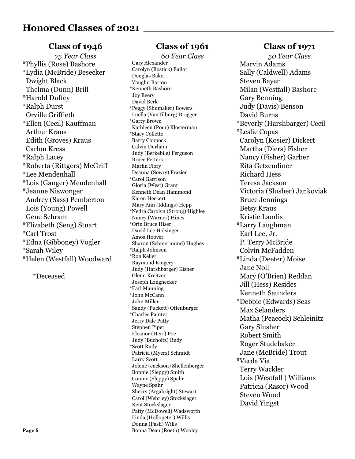#### **Class of 1946**

*75 Year Class* \*Phyllis (Rose) Bashore \*Lydia (McBride) Besecker Dwight Black Thelma (Dunn) Brill \*Harold Duffey \*Ralph Durst Orville Griffieth \*Ellen (Cecil) Kauffman Arthur Kraus Edith (Groves) Kraus Carlon Kress \*Ralph Lacey \*Roberta (Rittgers) McGriff \*Lee Mendenhall \*Lois (Ganger) Mendenhall \*Jeanne Niswonger Audrey (Sass) Pemberton Lois (Young) Powell Gene Schram \*Elizabeth (Seng) Stuart \*Carl Trost \*Edna (Gibboney) Vogler \*Sarah Wiley \*Helen (Westfall) Woodward

\*Deceased

#### **Class of 1961**

*60 Year Class* Gary Alexander Carolyn (Bostick) Bailor Douglas Baker Vaughn Barton \*Kenneth Bashore Joy Beery David Berk \*Peggy (Shumaker) Bowers Luella (VanTilburg) Bragger \*Garry Brown Kathleen (Pour) Klosterman \*Stacy Collette Barry Coppock Calvin Durham Judy (Berkebile) Ferguson Bruce Fetters Marlin Flory Deanna (Sowry) Frazier \*Carol Garrison Gloria (West) Grant Kenneth Dean Hammond Karen Heckert Mary Ann (Iddings) Hepp \*Nedra Carolyn (Strong) Highley Nancy (Warner) Hines \*Orin Bruce Hiser David Lee Holsinger Amos Hoover Sharon (Schmermund) Hughes \*Ralph Johnson \*Ron Keller Raymond Kingery Judy (Harshbarger) Kisner Glenn Kreitzer Joseph Longnecker \*Earl Manning \*John McCann John Miller Sandy (Puckett) Offenburger \*Charles Painter Jerry Dale Patty Stephen Piper Eleanor (Herr) Poe Judy (Bucholtz) Rudy \*Scott Rudy Patricia (Myers) Schmidt Larry Scott Jolene (Jackson) Shellenberger Bonnie (Sleppy) Smith Connie (Sleppy) Spahr Wayne Spahr Sherry (Argabright) Stewart Carol (Wehrley) Stockslager Kent Stockslager Patty (McDowell) Wadsworth Linda (Hollopeter) Willis Donna (Pash) Wills Bonna Dean (Roeth) Wooley

### **Class of 1971**

*50 Year Class* Marvin Adams Sally (Caldwell) Adams Steven Bayer Milan (Westfall) Bashore Gary Benning Judy (Davis) Benson David Burns \*Beverly (Harshbarger) Cecil \*Leslie Copas Carolyn (Kosier) Dickert Martha (Diers) Fisher Nancy (Fisher) Garber Rita Getzendiner Richard Hess Teresa Jackson Victoria (Slusher) Jankoviak Bruce Jennings Betsy Kraus Kristie Landis \*Larry Laughman Earl Lee, Jr. P. Terry McBride Colvin McFadden \*Linda (Deeter) Moise Jane Noll Mary (O'Brien) Reddan Jill (Hess) Resides Kenneth Saunders \*Debbie (Edwards) Seas Max Selanders Matha (Peacock) Schleinitz Gary Slusher Robert Smith Roger Studebaker Jane (McBride) Trout \*Verda Via Terry Wackler Lois (Westfall ) Williams Patricia (Rasor) Wood Steven Wood David Yingst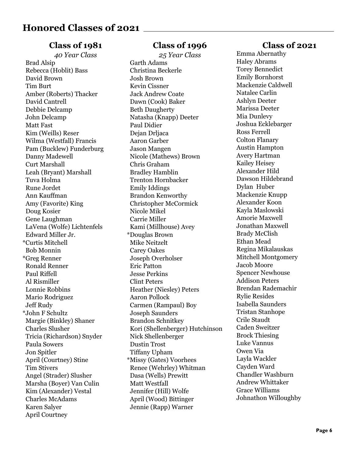#### **Class of 1981**

*40 Year Class* Brad Alsip Rebecca (Hoblit) Bass David Brown Tim Burt Amber (Roberts) Thacker David Cantrell Debbie Delcamp John Delcamp Matt Fast Kim (Weills) Reser Wilma (Westfall) Francis Pam (Bucklew) Funderburg Danny Madewell Curt Marshall Leah (Bryant) Marshall Tuva Holma Rune Jordet Ann Kauffman Amy (Favorite) King Doug Kosier Gene Laughman LaVena (Wolfe) Lichtenfels Edward Miller Jr. \*Curtis Mitchell Bob Monnin \*Greg Renner Ronald Renner Paul Riffell Al Rismiller Lonnie Robbins Mario Rodriguez Jeff Rudy \*John F Schultz Margie (Binkley) Shaner Charles Slusher Tricia (Richardson) Snyder Paula Sowers Jon Spitler April (Courtney) Stine Tim Stivers Angel (Strader) Slusher Marsha (Boyer) Van Culin Kim (Alexander) Vestal Charles McAdams Karen Salyer April Courtney

#### **Class of 1996**

*25 Year Class* Garth Adams Christina Beckerle Josh Brown Kevin Cissner Jack Andrew Coate Dawn (Cook) Baker Beth Daugherty Natasha (Knapp) Deeter Paul Didier Dejan Drljaca Aaron Garber Jason Mangen Nicole (Mathews) Brown Chris Graham Bradley Hamblin Trenton Hornbacker Emily Iddings Brandon Kenworthy Christopher McCormick Nicole Mikel Carrie Miller Kami (Millhouse) Avey \*Douglas Brown Mike Neitzelt Carey Oakes Joseph Overholser Eric Patton Jesse Perkins Clint Peters Heather (Niesley) Peters Aaron Pollock Carmen (Rampaul) Boy Joseph Saunders Brandon Schnitkey Kori (Shellenberger) Hutchinson Nick Shellenberger Dustin Trost Tiffany Upham \*Missy (Gates) Voorhees Renee (Wehrley) Whitman Dasa (Wells) Prewitt Matt Westfall Jennifer (Hill) Wolfe April (Wood) Bittinger Jennie (Rapp) Warner

#### **Class of 2021**

Emma Abernathy Haley Abrams Torey Bennedict Emily Bornhorst Mackenzie Caldwell Natalee Carlin Ashlyn Deeter Marissa Deeter Mia Dunlevy Joshua Ecklebarger Ross Ferrell Colton Flanary Austin Hampton Avery Hartman Kailey Heisey Alexander Hild Dawson Hildebrand Dylan Huber Mackenzie Knupp Alexander Koon Kayla Maslowski Amorie Maxwell Jonathan Maxwell Brady McClish Ethan Mead Regina Mikalauskas Mitchell Montgomery Jacob Moore Spencer Newhouse Addison Peters Brendan Rademachir Rylie Resides Isabella Saunders Tristan Stanhope Crile Staudt Caden Sweitzer Brock Thiesing Luke Vannus Owen Via Layla Wackler Cayden Ward Chandler Washburn Andrew Whittaker Grace Williams Johnathon Willoughby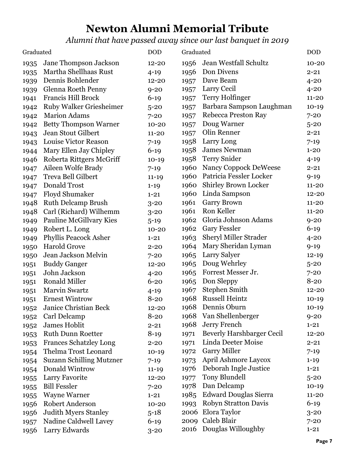# **Newton Alumni Memorial Tribute**

*Alumni that have passed away since our last banquet in 2019*

| <b>DOD</b><br>Graduated |                                 | Graduated |      | <b>DOD</b>                   |           |
|-------------------------|---------------------------------|-----------|------|------------------------------|-----------|
| 1935                    | Jane Thompson Jackson           | $12 - 20$ | 1956 | Jean Westfall Schultz        | $10 - 20$ |
| 1935                    | Martha Shellhaas Rust           | $4 - 19$  | 1956 | Don Divens                   | $2 - 21$  |
| 1939                    | Dennis Bohlender                | $12 - 20$ | 1957 | Dave Beam                    | $4 - 20$  |
| 1939                    | Glenna Roeth Penny              | $9 - 20$  | 1957 | Larry Cecil                  | $4 - 20$  |
| 1941                    | Francis Hill Brock              | $6 - 19$  | 1957 | <b>Terry Holfinger</b>       | $11 - 20$ |
| 1942                    | <b>Ruby Walker Griesheimer</b>  | $5 - 20$  | 1957 | Barbara Sampson Laughman     | $10-19$   |
| 1942                    | <b>Marion Adams</b>             | $7 - 20$  | 1957 | Rebecca Preston Ray          | $7 - 20$  |
| 1942                    | <b>Betty Thompson Warner</b>    | $10 - 20$ | 1957 | Doug Warner                  | $5 - 20$  |
| 1943                    | Jean Stout Gilbert              | $11 - 20$ | 1957 | Olin Renner                  | $2 - 21$  |
| 1943                    | Louise Victor Reason            | $7 - 19$  | 1958 | Larry Long                   | $7 - 19$  |
| 1944                    | Mary Ellen Jay Chipley          | $6 - 19$  | 1958 | <b>James Newman</b>          | $1 - 20$  |
| 1946                    | Roberta Rittgers McGriff        | $10-19$   | 1958 | <b>Terry Snider</b>          | $4 - 19$  |
| 1947                    | Aileen Wolfe Brady              | $7 - 19$  | 1960 | Nancy Coppock DeWeese        | $2 - 21$  |
| 1947                    | Treva Bell Gilbert              | $11 - 19$ | 1960 | Patricia Fessler Locker      | $9 - 19$  |
| 1947                    | Donald Trost                    | $1 - 19$  | 1960 | <b>Shirley Brown Locker</b>  | $11 - 20$ |
| 1947                    | Floyd Shumaker                  | $1 - 21$  | 1960 | Linda Sampson                | $12 - 20$ |
| 1948                    | <b>Ruth Delcamp Brush</b>       | $3 - 20$  | 1961 | <b>Garry Brown</b>           | $11 - 20$ |
| 1948                    | Carl (Richard) Wilhemm          | $3 - 20$  | 1961 | Ron Keller                   | $11 - 20$ |
| 1949                    | <b>Pauline McGillvary Kies</b>  | $5 - 19$  | 1962 | Gloria Johnson Adams         | $9 - 20$  |
| 1949                    | Robert L. Long                  | $10 - 20$ | 1962 | <b>Gary Fessler</b>          | $6 - 19$  |
| 1949                    | <b>Phyllis Peacock Asher</b>    | $1 - 21$  | 1963 | <b>Sheryl Miller Strader</b> | $4 - 20$  |
| 1950                    | <b>Harold Grove</b>             | $2 - 20$  | 1964 | Mary Sheridan Lyman          | $9 - 19$  |
| 1950                    | Jean Jackson Melvin             | $7 - 20$  | 1965 | Larry Salyer                 | $12 - 19$ |
| 1951                    | <b>Buddy Ganger</b>             | $12 - 20$ | 1965 | Doug Wehrley                 | $5 - 20$  |
| 1951                    | John Jackson                    | $4 - 20$  | 1965 | Forrest Messer Jr.           | $7 - 20$  |
| 1951                    | <b>Ronald Miller</b>            | $6 - 20$  | 1965 | Don Sleppy                   | $8 - 20$  |
| 1951                    | Marvin Swartz                   | $4 - 19$  | 1967 | <b>Stephen Smith</b>         | $12 - 20$ |
| 1951                    | <b>Ernest Wintrow</b>           | $8 - 20$  | 1968 | <b>Russell Heintz</b>        | $10-19$   |
| 1952                    | Janice Christian Beck           | $12 - 20$ | 1968 | Dennis Oburn                 | $10-19$   |
| 1952                    | Carl Delcamp                    | $8 - 20$  |      | 1968 Van Shellenberger       | $9 - 20$  |
| 1952                    | James Hoblit                    | $2 - 21$  | 1968 | Jerry French                 | $1 - 21$  |
| 1953                    | <b>Ruth Dunn Roetter</b>        | $8-19$    | 1971 | Beverly Harshbarger Cecil    | $12 - 20$ |
| 1953                    | <b>Frances Schatzley Long</b>   | $2 - 20$  | 1971 | Linda Deeter Moise           | $2 - 21$  |
| 1954                    | Thelma Trost Leonard            | $10-19$   | 1972 | <b>Garry Miller</b>          | $7 - 19$  |
| 1954                    | <b>Suzann Schilling Mutzner</b> | $7 - 19$  | 1973 | April Ashmore Laycox         | $1 - 19$  |
| 1954                    | Donald Wintrow                  | $11 - 19$ | 1976 | Deborah Ingle Justice        | $1 - 21$  |
| 1955                    | Larry Favorite                  | $12 - 20$ | 1977 | Tony Blundell                | $5 - 20$  |
| 1955                    | <b>Bill Fessler</b>             | $7 - 20$  | 1978 | Dan Delcamp                  | $10-19$   |
| 1955                    | <b>Wayne Warner</b>             | $1 - 21$  | 1985 | <b>Edward Douglas Sierra</b> | $11 - 20$ |
| 1956                    | Robert Anderson                 | $10 - 20$ | 1993 | Robyn Stratton Davis         | $6-19$    |
| 1956                    | <b>Judith Myers Stanley</b>     | $5 - 18$  | 2006 | Elora Taylor                 | $3 - 20$  |
| 1957                    | Nadine Caldwell Lavey           | $6 - 19$  |      | 2009 Caleb Blair             | $7 - 20$  |
| 1956                    | Larry Edwards                   | $3 - 20$  | 2016 | Douglas Willoughby           | $1 - 21$  |